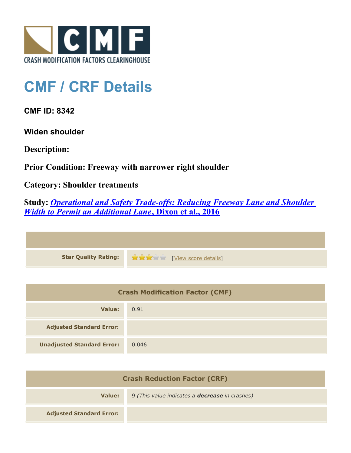

## **CMF / CRF Details**

**CMF ID: 8342**

**Widen shoulder**

**Description:** 

**Prior Condition: Freeway with narrower right shoulder**

**Category: Shoulder treatments**

**Study:** *[Operational and Safety Trade-offs: Reducing Freeway Lane and Shoulder](http://www.cmfclearinghouse.org/study_detail.cfm?stid=464) [Width to Permit an Additional Lane](http://www.cmfclearinghouse.org/study_detail.cfm?stid=464)***[, Dixon et al., 2016](http://www.cmfclearinghouse.org/study_detail.cfm?stid=464)**

| <b>Star Quality Rating:</b> | View score details |
|-----------------------------|--------------------|

| <b>Crash Modification Factor (CMF)</b> |       |
|----------------------------------------|-------|
| Value:                                 | 0.91  |
| <b>Adjusted Standard Error:</b>        |       |
| <b>Unadjusted Standard Error:</b>      | 0.046 |

| <b>Crash Reduction Factor (CRF)</b> |                                                       |
|-------------------------------------|-------------------------------------------------------|
| Value:                              | 9 (This value indicates a <b>decrease</b> in crashes) |
| <b>Adjusted Standard Error:</b>     |                                                       |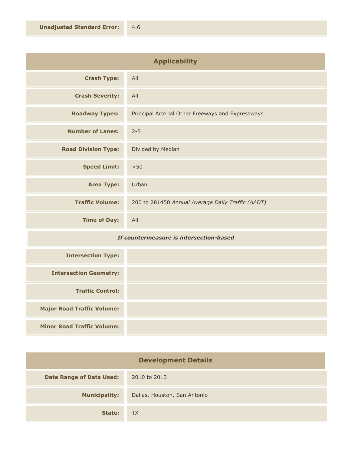| <b>Applicability</b>       |                                                   |
|----------------------------|---------------------------------------------------|
| <b>Crash Type:</b>         | All                                               |
| <b>Crash Severity:</b>     | All                                               |
| <b>Roadway Types:</b>      | Principal Arterial Other Freeways and Expressways |
| <b>Number of Lanes:</b>    | $2 - 5$                                           |
| <b>Road Division Type:</b> | Divided by Median                                 |
| <b>Speed Limit:</b>        | >50                                               |
| <b>Area Type:</b>          | Urban                                             |
| <b>Traffic Volume:</b>     | 200 to 281450 Annual Average Daily Traffic (AADT) |
| <b>Time of Day:</b>        | All                                               |

## *If countermeasure is intersection-based*

| <b>Intersection Type:</b>         |  |
|-----------------------------------|--|
| <b>Intersection Geometry:</b>     |  |
| <b>Traffic Control:</b>           |  |
| <b>Major Road Traffic Volume:</b> |  |
| <b>Minor Road Traffic Volume:</b> |  |

| <b>Development Details</b>      |                              |
|---------------------------------|------------------------------|
| <b>Date Range of Data Used:</b> | 2010 to 2013                 |
| <b>Municipality:</b>            | Dallas, Houston, San Antonio |
| State:                          | <b>TX</b>                    |